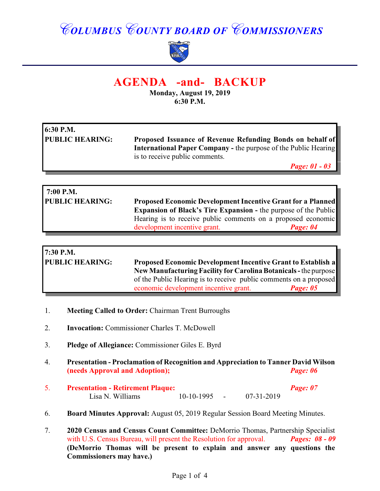# *COLUMBUS COUNTY BOARD OF COMMISSIONERS*



## **AGENDA -and- BACKUP**

**Monday, August 19, 2019 6:30 P.M.**

| 6:30 P.M.              |                                                                        |
|------------------------|------------------------------------------------------------------------|
| <b>PUBLIC HEARING:</b> | Proposed Issuance of Revenue Refunding Bonds on behalf of              |
|                        | <b>International Paper Company - the purpose of the Public Hearing</b> |
|                        | is to receive public comments.                                         |
|                        | <b>Page: 01 - 03</b>                                                   |

| 7:00 P.M.              |                                                                        |          |
|------------------------|------------------------------------------------------------------------|----------|
| <b>PUBLIC HEARING:</b> | <b>Proposed Economic Development Incentive Grant for a Planned</b>     |          |
|                        | <b>Expansion of Black's Tire Expansion - the purpose of the Public</b> |          |
|                        | Hearing is to receive public comments on a proposed economic           |          |
|                        | development incentive grant.                                           | Page: 04 |

| 7:30 P.M.              |                                                                     |          |
|------------------------|---------------------------------------------------------------------|----------|
| <b>PUBLIC HEARING:</b> | <b>Proposed Economic Development Incentive Grant to Establish a</b> |          |
|                        | New Manufacturing Facility for Carolina Botanicals - the purpose    |          |
|                        | of the Public Hearing is to receive public comments on a proposed   |          |
|                        | economic development incentive grant.                               | Page: 05 |

- 1. **Meeting Called to Order:** Chairman Trent Burroughs
- 2. **Invocation:** Commissioner Charles T. McDowell
- 3. **Pledge of Allegiance:** Commissioner Giles E. Byrd
- 4. **Presentation Proclamation of Recognition and Appreciation to Tanner David Wilson (needs Approval and Adoption);** *Page: 06*
- 5. **Presentation Retirement Plaque:** *Page: 07* Lisa N. Williams 10-10-1995 - 07-31-2019
- 6. **Board Minutes Approval:** August 05, 2019 Regular Session Board Meeting Minutes.
- 7. **2020 Census and Census Count Committee:** DeMorrio Thomas, Partnership Specialist with U.S. Census Bureau, will present the Resolution for approval. **Pages: 08 - 09 (DeMorrio Thomas will be present to explain and answer any questions the Commissioners may have.)**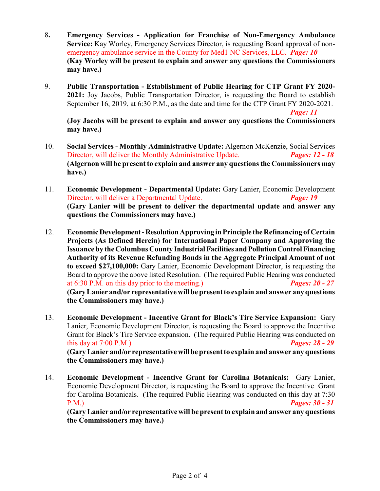- 8**. Emergency Services Application for Franchise of Non-Emergency Ambulance Service:** Kay Worley, Emergency Services Director, is requesting Board approval of nonemergency ambulance service in the County for Med1 NC Services, LLC. *Page: 10* **(Kay Worley will be present to explain and answer any questions the Commissioners may have.)**
- 9. **Public Transportation Establishment of Public Hearing for CTP Grant FY 2020- 2021:** Joy Jacobs, Public Transportation Director, is requesting the Board to establish September 16, 2019, at 6:30 P.M., as the date and time for the CTP Grant FY 2020-2021.

*Page: 11*

**(Joy Jacobs will be present to explain and answer any questions the Commissioners may have.)**

- 10. **Social Services Monthly Administrative Update:** Algernon McKenzie, Social Services Director, will deliver the Monthly Administrative Update. *Pages: 12 - 18* **(Algernon will be present to explain and answer any questions the Commissioners may have.)**
- 11. **Economic Development Departmental Update:** Gary Lanier, Economic Development Director, will deliver a Departmental Update. *Page: 19* **(Gary Lanier will be present to deliver the departmental update and answer any questions the Commissioners may have.)**
- 12. **Economic Development Resolution Approving in Principle the Refinancing of Certain Projects (As Defined Herein) for International Paper Company and Approving the Issuance by the Columbus County Industrial Facilities and Pollution Control Financing Authority of its Revenue Refunding Bonds in the Aggregate Principal Amount of not to exceed \$27,100,000:** Gary Lanier, Economic Development Director, is requesting the Board to approve the above listed Resolution. (The required Public Hearing was conducted at 6:30 P.M. on this day prior to the meeting.) *Pages: 20 - 27* **(Gary Lanier and/or representative will be present to explain and answer any questions the Commissioners may have.)**
- 13. **Economic Development Incentive Grant for Black's Tire Service Expansion:** Gary Lanier, Economic Development Director, is requesting the Board to approve the Incentive Grant for Black's Tire Service expansion. (The required Public Hearing was conducted on this day at 7:00 P.M.) *Pages: 28 - 29* **(Gary Lanier and/or representative will be present to explain and answer any questions the Commissioners may have.)**
- 14. **Economic Development Incentive Grant for Carolina Botanicals:** Gary Lanier, Economic Development Director, is requesting the Board to approve the Incentive Grant for Carolina Botanicals. (The required Public Hearing was conducted on this day at 7:30 P.M.) *Pages: 30 - 31*

**(Gary Lanier and/or representative will be present to explain and answer any questions the Commissioners may have.)**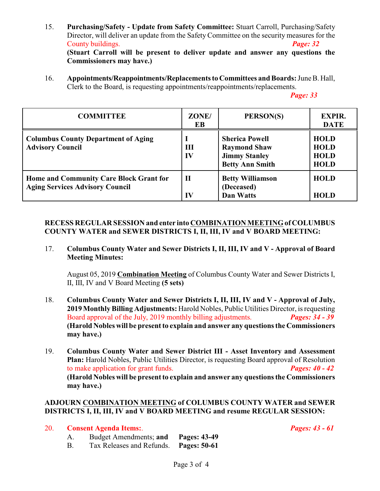15. **Purchasing/Safety - Update from Safety Committee:** Stuart Carroll, Purchasing/Safety Director, will deliver an update from the Safety Committee on the security measures for the County buildings. *Page: 32*

**(Stuart Carroll will be present to deliver update and answer any questions the Commissioners may have.)**

16. **Appointments/Reappointments/Replacements to Committees and Boards:** June B. Hall, Clerk to the Board, is requesting appointments/reappointments/replacements.

*Page: 33*

| <b>COMMITTEE</b>                                                                  | ZONE/<br>EB        | PERSON(S)                                                                                      | <b>EXPIR.</b><br><b>DATE</b>                             |
|-----------------------------------------------------------------------------------|--------------------|------------------------------------------------------------------------------------------------|----------------------------------------------------------|
| <b>Columbus County Department of Aging</b><br><b>Advisory Council</b>             | Ш<br>IV            | <b>Sherica Powell</b><br><b>Raymond Shaw</b><br><b>Jimmy Stanley</b><br><b>Betty Ann Smith</b> | <b>HOLD</b><br><b>HOLD</b><br><b>HOLD</b><br><b>HOLD</b> |
| Home and Community Care Block Grant for<br><b>Aging Services Advisory Council</b> | $\mathbf{I}$<br>IV | <b>Betty Williamson</b><br>(Deceased)<br><b>Dan Watts</b>                                      | <b>HOLD</b><br><b>HOLD</b>                               |

#### **RECESS REGULAR SESSION and enter into COMBINATION MEETING of COLUMBUS COUNTY WATER and SEWER DISTRICTS I, II, III, IV and V BOARD MEETING:**

17. **Columbus County Water and Sewer Districts I, II, III, IV and V - Approval of Board Meeting Minutes:**

August 05, 2019 **Combination Meeting** of Columbus County Water and Sewer Districts I, II, III, IV and V Board Meeting **(5 sets)**

- 18. **Columbus County Water and Sewer Districts I, II, III, IV and V - Approval of July, 2019Monthly Billing Adjustments:** Harold Nobles, Public Utilities Director, is requesting Board approval of the July, 2019 monthly billing adjustments. *Pages: 34 - 39* **(Harold Nobles will be present to explain and answer any questions the Commissioners may have.)**
- 19. **Columbus County Water and Sewer District III Asset Inventory and Assessment Plan:** Harold Nobles, Public Utilities Director, is requesting Board approval of Resolution to make application for grant funds. *Pages: 40 - 42* **(Harold Nobles will be present to explain and answer any questions the Commissioners may have.)**

#### **ADJOURN COMBINATION MEETING of COLUMBUS COUNTY WATER and SEWER DISTRICTS I, II, III, IV and V BOARD MEETING and resume REGULAR SESSION:**

### 20. **Consent Agenda Items:**. *Pages: 43 - 61*

A. Budget Amendments; **and Pages: 43-49** B. Tax Releases and Refunds. **Pages: 50-61**